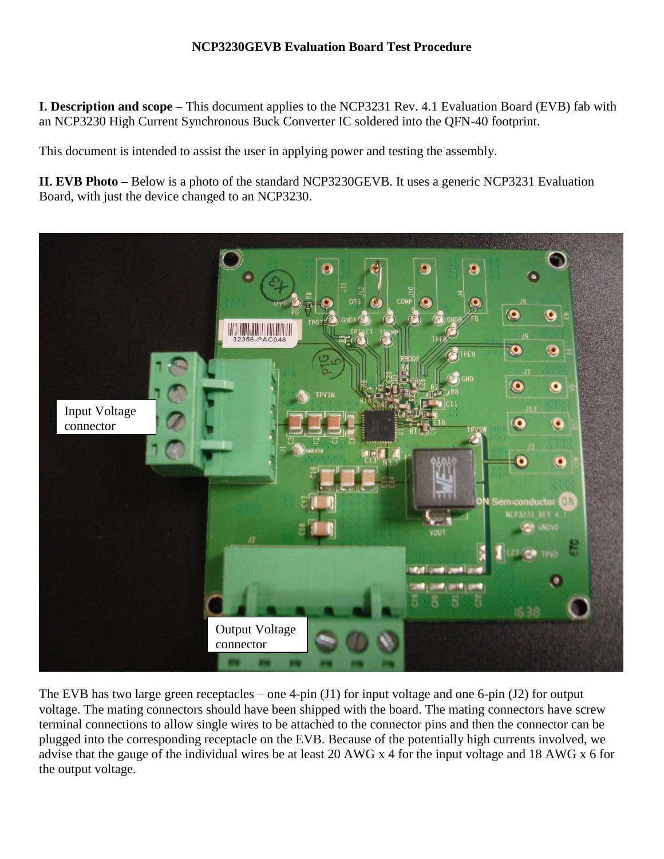## **NCP3230GEVB Evaluation Board Test Procedure**

**I. Description and scope** – This document applies to the NCP3231 Rev. 4.1 Evaluation Board (EVB) fab with an NCP3230 High Current Synchronous Buck Converter IC soldered into the QFN-40 footprint.

This document is intended to assist the user in applying power and testing the assembly.

**II. EVB Photo –** Below is a photo of the standard NCP3230GEVB. It uses a generic NCP3231 Evaluation Board, with just the device changed to an NCP3230.



The EVB has two large green receptacles – one 4-pin (J1) for input voltage and one 6-pin (J2) for output voltage. The mating connectors should have been shipped with the board. The mating connectors have screw terminal connections to allow single wires to be attached to the connector pins and then the connector can be plugged into the corresponding receptacle on the EVB. Because of the potentially high currents involved, we advise that the gauge of the individual wires be at least 20 AWG x 4 for the input voltage and 18 AWG x 6 for the output voltage.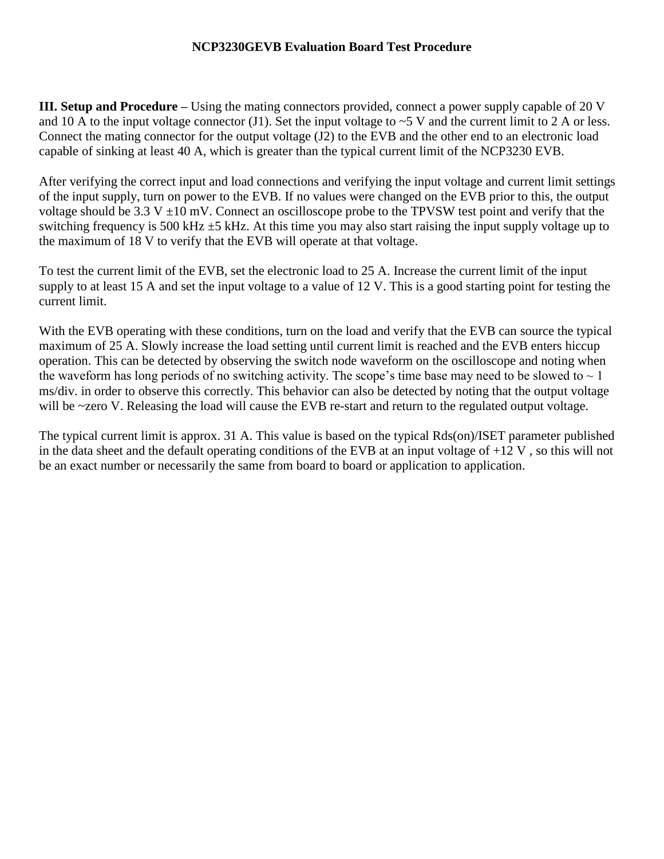## **NCP3230GEVB Evaluation Board Test Procedure**

**III. Setup and Procedure** – Using the mating connectors provided, connect a power supply capable of 20 V and 10 A to the input voltage connector (J1). Set the input voltage to  $\sim$  5 V and the current limit to 2 A or less. Connect the mating connector for the output voltage (J2) to the EVB and the other end to an electronic load capable of sinking at least 40 A, which is greater than the typical current limit of the NCP3230 EVB.

After verifying the correct input and load connections and verifying the input voltage and current limit settings of the input supply, turn on power to the EVB. If no values were changed on the EVB prior to this, the output voltage should be 3.3 V  $\pm$ 10 mV. Connect an oscilloscope probe to the TPVSW test point and verify that the switching frequency is 500 kHz ±5 kHz. At this time you may also start raising the input supply voltage up to the maximum of 18 V to verify that the EVB will operate at that voltage.

To test the current limit of the EVB, set the electronic load to 25 A. Increase the current limit of the input supply to at least 15 A and set the input voltage to a value of 12 V. This is a good starting point for testing the current limit.

With the EVB operating with these conditions, turn on the load and verify that the EVB can source the typical maximum of 25 A. Slowly increase the load setting until current limit is reached and the EVB enters hiccup operation. This can be detected by observing the switch node waveform on the oscilloscope and noting when the waveform has long periods of no switching activity. The scope's time base may need to be slowed to  $\sim 1$ ms/div. in order to observe this correctly. This behavior can also be detected by noting that the output voltage will be ~zero V. Releasing the load will cause the EVB re-start and return to the regulated output voltage.

The typical current limit is approx. 31 A. This value is based on the typical Rds(on)/ISET parameter published in the data sheet and the default operating conditions of the EVB at an input voltage of  $+12$  V, so this will not be an exact number or necessarily the same from board to board or application to application.